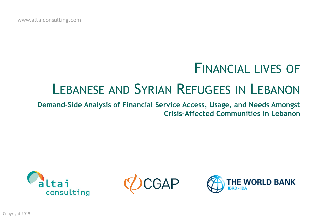www.altaiconsulting.com

## FINANCIAL LIVES OF

# LEBANESE AND SYRIAN REFUGEES IN LEBANON

**Demand-Side Analysis of Financial Service Access, Usage, and Needs Amongst Crisis-Affected Communities in Lebanon** 



CGAP

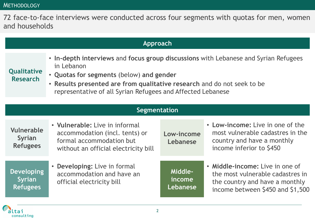72 face-to-face interviews were conducted across four segments with quotas for men, women and households

| Approach                                              |                                                                                                                                                                                                                                                                                         |                               |                                                                                                                                           |  |  |  |
|-------------------------------------------------------|-----------------------------------------------------------------------------------------------------------------------------------------------------------------------------------------------------------------------------------------------------------------------------------------|-------------------------------|-------------------------------------------------------------------------------------------------------------------------------------------|--|--|--|
| <b>Qualitative</b><br><b>Research</b>                 | • In-depth interviews and focus group discussions with Lebanese and Syrian Refugees<br>in Lebanon<br>• Quotas for segments (below) and gender<br>• Results presented are from qualitative research and do not seek to be<br>representative of all Syrian Refugees and Affected Lebanese |                               |                                                                                                                                           |  |  |  |
|                                                       |                                                                                                                                                                                                                                                                                         |                               |                                                                                                                                           |  |  |  |
|                                                       | Segmentation                                                                                                                                                                                                                                                                            |                               |                                                                                                                                           |  |  |  |
| <b>Vulnerable</b><br><b>Syrian</b><br><b>Refugees</b> | • Vulnerable: Live in informal<br>accommodation (incl. tents) or<br>formal accommodation but<br>without an official electricity bill                                                                                                                                                    | Low-income<br>Lebanese        | • Low-income: Live in one of the<br>most vulnerable cadastres in the<br>country and have a monthly<br>income inferior to \$450            |  |  |  |
| <b>Developing</b><br><b>Syrian</b><br><b>Refugees</b> | • Developing: Live in formal<br>accommodation and have an<br>official electricity bill                                                                                                                                                                                                  | Middle-<br>income<br>Lebanese | • Middle-income: Live in one of<br>the most vulnerable cadastres in<br>the country and have a monthly<br>income between \$450 and \$1,500 |  |  |  |

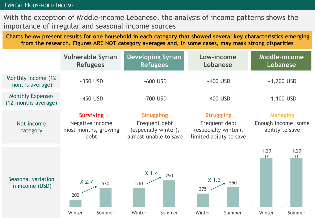#### TYPICAL HOUSEHOLD INCOME

With the exception of Middle-income Lebanese, the analysis of income patterns shows the importance of irregular and seasonal income sources

**Charts below present results for one household in each category that showed several key characteristics emerging from the research. Figures ARE NOT category averages and, in some cases, may mask strong disparities**

|                                                | <b>Vulnerable Syrian</b><br><b>Refugees</b>                         | <b>Developing Syrian</b><br><b>Refugees</b>                                         | Low-income<br>Lebanese                                                                | Middle-income<br>Lebanese                                 |
|------------------------------------------------|---------------------------------------------------------------------|-------------------------------------------------------------------------------------|---------------------------------------------------------------------------------------|-----------------------------------------------------------|
| Monthly Income (12<br>months average)          | $~-350$ USD                                                         | $~500$ USD                                                                          | $~-400$ USD                                                                           | $-1,200$ USD                                              |
| <b>Monthly Expenses</b><br>(12 months average) | $-450$ USD                                                          | $~1$ -700 USD                                                                       | $~-400$ USD                                                                           | $-1,100$ USD                                              |
| Net income<br>category                         | <b>Surviving</b><br>Negative income<br>most months, growing<br>debt | <b>Struggling</b><br>Frequent debt<br>(especially winter),<br>almost unable to save | <b>Struggling</b><br>Frequent debt<br>(especially winter),<br>limited ability to save | <b>Managing</b><br>Enough income, some<br>ability to save |
| Seasonal variation<br>in income (USD)          | $X$ 2.7<br>530<br>200<br>Winter<br>Summer                           | $X$ 1.4<br>750<br>530<br>Winter<br>Summer                                           | $X$ 1.3<br>550<br>375<br>Winter<br>Summer                                             | 1,20<br>1,20<br>$\overline{0}$<br>Winter<br>Summer        |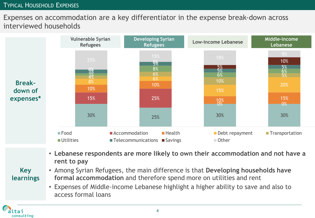### TYPICAL HOUSEHOLD EXPENSES

## Expenses on accommodation are a key differentiator in the expense break-down across interviewed households



• **Lebanese respondents are more likely to own their accommodation and not have a rent to pay**

## **Key learnings**

tai consulting

- Among Syrian Refugees, the main difference is that **Developing households have formal accommodation** and therefore spend more on utilities and rent
	- Expenses of Middle-income Lebanese highlight a higher ability to save and also to access formal loans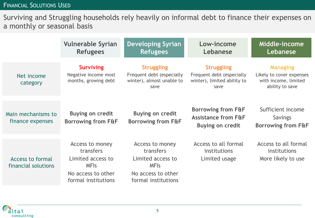## FINANCIAL SOLUTIONS USED

Surviving and Struggling households rely heavily on informal debt to finance their expenses on a monthly or seasonal basis

|                                         | <b>Vulnerable Syrian</b><br><b>Refugees</b>                                                                   | <b>Developing Syrian</b><br><b>Refugees</b>                                                                   | Low-income<br>Lebanese                                                                     | Middle-income<br>Lebanese                                                              |
|-----------------------------------------|---------------------------------------------------------------------------------------------------------------|---------------------------------------------------------------------------------------------------------------|--------------------------------------------------------------------------------------------|----------------------------------------------------------------------------------------|
| Net income<br>category                  | <b>Surviving</b><br>Negative income most<br>months, growing debt                                              | <b>Struggling</b><br>Frequent debt (especially<br>winter), almost unable to<br>save                           | <b>Struggling</b><br>Frequent debt (especially<br>winter), limited ability to<br>save      | <b>Managing</b><br>Likely to cover expenses<br>with income, limited<br>ability to save |
| Main mechanisms to<br>finance expenses  | <b>Buying on credit</b><br><b>Borrowing from F&amp;F</b>                                                      | <b>Buying on credit</b><br><b>Borrowing from F&amp;F</b>                                                      | <b>Borrowing from F&amp;F</b><br><b>Assistance from F&amp;F</b><br><b>Buying on credit</b> | Sufficient income<br><b>Savings</b><br><b>Borrowing from F&amp;F</b>                   |
| Access to formal<br>financial solutions | Access to money<br>transfers<br>Limited access to<br><b>MFIs</b><br>No access to other<br>formal institutions | Access to money<br>transfers<br>Limited access to<br><b>MFIS</b><br>No access to other<br>formal institutions | Access to all formal<br>institutions<br>Limited usage                                      | Access to all formal<br>institutions<br>More likely to use                             |

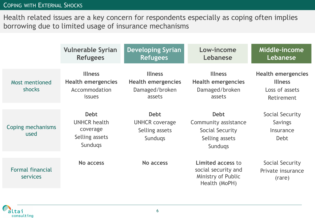## COPING WITH EXTERNAL SHOCKS

tai consulting

Health related issues are a key concern for respondents especially as coping often implies borrowing due to limited usage of insurance mechanisms

|                                     | <b>Vulnerable Syrian</b><br><b>Refugees</b>                                        | <b>Developing Syrian</b><br><b>Refugees</b>                              | Low-income<br>Lebanese                                                                     | Middle-income<br>Lebanese                                                   |
|-------------------------------------|------------------------------------------------------------------------------------|--------------------------------------------------------------------------|--------------------------------------------------------------------------------------------|-----------------------------------------------------------------------------|
| Most mentioned<br>shocks            | <b>Illness</b><br><b>Health emergencies</b><br>Accommodation<br><i>issues</i>      | <b>Illness</b><br><b>Health emergencies</b><br>Damaged/broken<br>assets  | <b>Illness</b><br><b>Health emergencies</b><br>Damaged/broken<br>assets                    | <b>Health emergencies</b><br><b>Illness</b><br>Loss of assets<br>Retirement |
| Coping mechanisms<br>used           | <b>Debt</b><br><b>UNHCR health</b><br>coverage<br>Selling assets<br><b>Sundugs</b> | <b>Debt</b><br><b>UNHCR coverage</b><br>Selling assets<br><b>Sundugs</b> | <b>Debt</b><br>Community assistance<br>Social Security<br>Selling assets<br><b>Sundugs</b> | Social Security<br><b>Savings</b><br>Insurance<br>Debt                      |
| <b>Formal financial</b><br>services | No access                                                                          | No access                                                                | Limited access to<br>social security and<br>Ministry of Public<br>Health (MoPH)            | Social Security<br>Private insurance<br>(rare)                              |

6